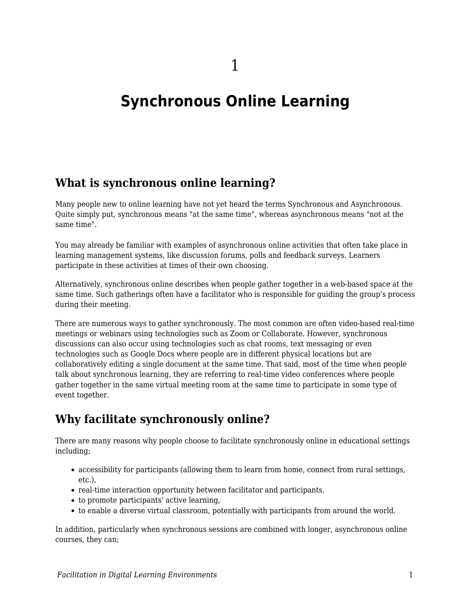# **Synchronous Online Learning**

#### **What is synchronous online learning?**

Many people new to online learning have not yet heard the terms Synchronous and Asynchronous. Quite simply put, synchronous means "at the same time", whereas asynchronous means "not at the same time".

You may already be familiar with examples of asynchronous online activities that often take place in learning management systems, like discussion forums, polls and feedback surveys. Learners participate in these activities at times of their own choosing.

Alternatively, synchronous online describes when people gather together in a web-based space at the same time. Such gatherings often have a facilitator who is responsible for guiding the group's process during their meeting.

There are numerous ways to gather synchronously. The most common are often video-based real-time meetings or webinars using technologies such as Zoom or Collaborate. However, synchronous discussions can also occur using technologies such as chat rooms, text messaging or even technologies such as Google Docs where people are in different physical locations but are collaboratively editing a single document at the same time. That said, most of the time when people talk about synchronous learning, they are referring to real-time video conferences where people gather together in the same virtual meeting room at the same time to participate in some type of event together.

### **Why facilitate synchronously online?**

There are many reasons why people choose to facilitate synchronously online in educational settings including;

- accessibility for participants (allowing them to learn from home, connect from rural settings, etc.),
- real-time interaction opportunity between facilitator and participants,
- to promote participants' active learning,
- to enable a diverse virtual classroom, potentially with participants from around the world.

In addition, particularly when synchronous sessions are combined with longer, asynchronous online courses, they can;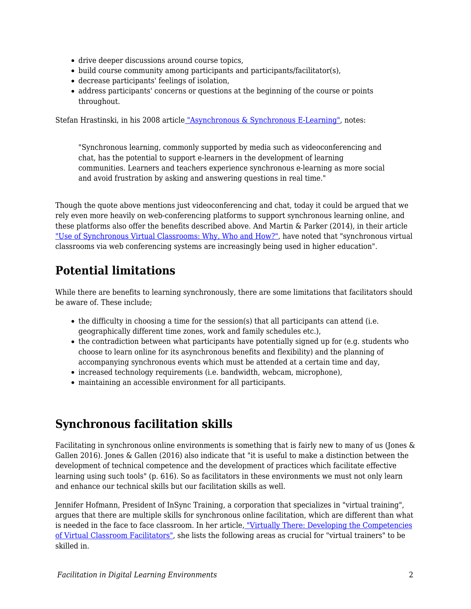- drive deeper discussions around course topics,
- build course community among participants and participants/facilitator(s),
- decrease participants' feelings of isolation,
- address participants' concerns or questions at the beginning of the course or points throughout.

Stefan Hrastinski, in his 2008 articl[e](https://er.educause.edu/articles/2008/11/asynchronous-and-synchronous-elearning) ["Asynchronous & Synchronous E-Learning"](https://er.educause.edu/articles/2008/11/asynchronous-and-synchronous-elearning), notes:

"Synchronous learning, commonly supported by media such as videoconferencing and chat, has the potential to support e-learners in the development of learning communities. Learners and teachers experience synchronous e-learning as more social and avoid frustration by asking and answering questions in real time."

Though the quote above mentions just videoconferencing and chat, today it could be argued that we rely even more heavily on web-conferencing platforms to support synchronous learning online, and these platforms also offer the benefits described above. And Martin & Parker (2014), in their article ["Use of Synchronous Virtual Classrooms: Why, Who and How?",](https://www.researchgate.net/profile/Florence_Martin4/publication/265335172_Use_of_Synchronous_Virtual_Classrooms_Why_Who_and_How_MERLOT_Journal_of_Online_Learning_and_Teaching_10_2_192-210/links/5408a12d0cf2822fb7354c1f.pdf) have noted that "synchronous virtual classrooms via web conferencing systems are increasingly being used in higher education".

## **Potential limitations**

While there are benefits to learning synchronously, there are some limitations that facilitators should be aware of. These include;

- the difficulty in choosing a time for the session(s) that all participants can attend (i.e. geographically different time zones, work and family schedules etc.),
- the contradiction between what participants have potentially signed up for (e.g. students who choose to learn online for its asynchronous benefits and flexibility) and the planning of accompanying synchronous events which must be attended at a certain time and day,
- increased technology requirements (i.e. bandwidth, webcam, microphone),
- maintaining an accessible environment for all participants.

### **Synchronous facilitation skills**

Facilitating in synchronous online environments is something that is fairly new to many of us (Jones & Gallen 2016). Jones & Gallen (2016) also indicate that "it is useful to make a distinction between the development of technical competence and the development of practices which facilitate effective learning using such tools" (p. 616). So as facilitators in these environments we must not only learn and enhance our technical skills but our facilitation skills as well.

Jennifer Hofmann, President of InSync Training, a corporation that specializes in "virtual training", argues that there are multiple skills for synchronous online facilitation, which are different than what is needed in the face to face classroom. In her article, ["Virtually There: Developing the Competencies](https://trainingmag.com/virtually-there-developing-competencies-virtual-classroom-facilitators) [of Virtual Classroom Facilitators"](https://trainingmag.com/virtually-there-developing-competencies-virtual-classroom-facilitators), she lists the following areas as crucial for "virtual trainers" to be skilled in.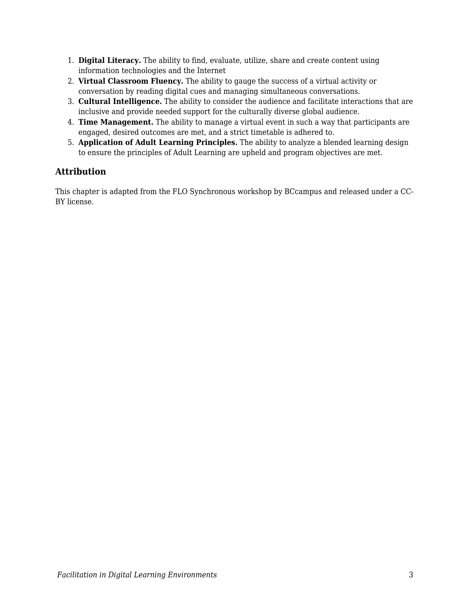- 1. **Digital Literacy.** The ability to find, evaluate, utilize, share and create content using information technologies and the Internet
- 2. **Virtual Classroom Fluency.** The ability to gauge the success of a virtual activity or conversation by reading digital cues and managing simultaneous conversations.
- 3. **Cultural Intelligence.** The ability to consider the audience and facilitate interactions that are inclusive and provide needed support for the culturally diverse global audience.
- 4. **Time Management.** The ability to manage a virtual event in such a way that participants are engaged, desired outcomes are met, and a strict timetable is adhered to.
- 5. **Application of Adult Learning Principles.** The ability to analyze a blended learning design to ensure the principles of Adult Learning are upheld and program objectives are met.

#### **Attribution**

This chapter is adapted from the FLO Synchronous workshop by BCcampus and released under a CC-BY license.